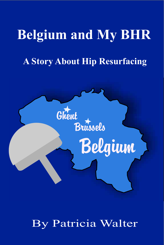# **Belgium and My BHR**

# **A Story About Hip Resurfacing**



By Patricia Walter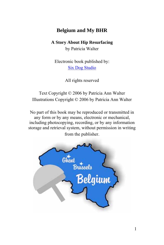# **Belgium and My BHR**

#### **A Story About Hip Resurfacing**

by Patricia Walter

Electronic book published by: [Six Dog Studio](http://www.sixdogstudio.com/)

All rights reserved

Text Copyright © 2006 by Patricia Ann Walter Illustrations Copyright © 2006 by Patricia Ann Walter

No part of this book may be reproduced or transmitted in any form or by any means, electronic or mechanical, including photocopying, recording, or by any information storage and retrieval system, without permission in writing from the publisher.

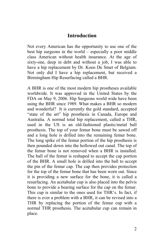### **Introduction**

Not every American has the opportunity to use one of the best hip surgeons in the world – especially a poor middle class American without health insurance. At the age of sixty-one, deep in debt and without a job, I was able to have a hip replacement by Dr. Koen De Smet of Belgium. Not only did I have a hip replacement, but received a Birmingham Hip Resurfacing called a BHR.

A BHR is one of the most modern hip prostheses available worldwide. It was approved in the United States by the FDA on May 9, 2006. Hip Surgeons world wide have been using the BHR since 1989. What makes a BHR so modern and wonderful? It is currently the gold standard, accepted "state of the art" hip prosthesis in Canada, Europe and Australia. A normal total hip replacement, called a THR, used in the US is an old-fashioned plastic/metal ball prosthesis. The top of your femur bone must be sawed off and a long hole is drilled into the remaining femur bone. The long spike of the femur portion of the hip prosthesis is then pounded down into the hollowed out canal. The top of the femur bone is not removed when a BHR is installed. The ball of the femur is reshaped to accept the cap portion of the BHR. A small hole is drilled into the ball to accept the pin of the femur cap. The cap then provides protection for the top of the femur bone that has been worn out. Since it is providing a new surface for the bone, it is called a resurfacing. An acetabular cup is also placed into the pelvis bone to provide a bearing surface for the cap on the femur. This cup is similar to the ones used for THR's. In fact, if there is ever a problem with a BHR, it can be revised into a THR by replacing the portion of the femur cup with a normal THR prosthesis. The acetabular cup can remain in place.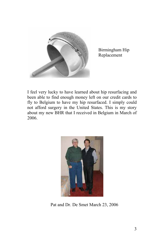

Birmingham Hip Replacement

I feel very lucky to have learned about hip resurfacing and been able to find enough money left on our credit cards to fly to Belgium to have my hip resurfaced. I simply could not afford surgery in the United States. This is my story about my new BHR that I received in Belgium in March of 2006.



Pat and Dr. De Smet March 23, 2006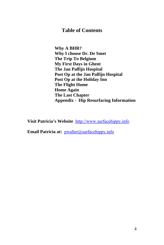### **Table of Contents**

**Why A BHR? Why I choose Dr. De Smet The Trip To Belgium My First Days in Ghent The Jan Palfijn Hospital Post Op at the Jan Palfijn Hospital Post Op at the Holiday Inn The Flight Home Home Again The Last Chapter Appendix - Hip Resurfacing Information** 

**Visit Patricia's Website** [http://www.surfacehippy.info](http://www.surfacehippy.info/)

**Email Patricia at:** [pwalter@surfacehippy.info](mailto:pwalter@surfacehippy.info)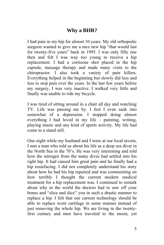# **Why a BHR?**

I had pain in my hip for almost 10 years. My old orthopedic surgeon wanted to give me a nice new hip "that would last for twenty-five years" back in 1995. I was only fifty one then and felt I was way too young to receive a hip replacement. I had a cortisone shot placed in the hip capsule, massage therapy and made many visits to the chiropractor. I also took a variety of pain killers. Everything helped in the beginning but slowly did less and less to stop pain over the years. In the last few years before my surgery, I was very inactive. I walked very little and finally was unable to ride my bicycle.

I was tired of sitting around in a chair all day and watching TV. Life was passing me by. I feel I even sank into somewhat of a depression. I stopped doing almost everything I had loved in my life – painting, writing, playing music and any kind of sports activity. My life had come to a stand still.

One night while my husband and I were at our local tavern, I met a man who told us about his life as a deep sea diver in the North Sea in the 70's. He was very interesting and told how the nitrogen from the many dives had settled into his right hip. It had caused him great pain and he finally had a hip resurfacing. I did not completely understand his story about how he had his hip repaired and was commenting on how terribly I thought the current modern medical treatment for a hip replacement was. I continued to remark about why in the world the doctors had to saw off your bones and "slice and dice" you in such a drastic manner to replace a hip. I felt that our current technology should be able to replace worn cartilage in some manner instead of just removing the whole hip. We are living in the twentyfirst century and men have traveled to the moon, yet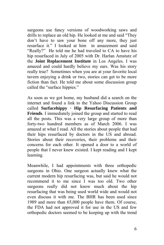surgeons use fancy versions of woodworking saws and drills to replace an old hip. He looked at me and said "They don't have to saw your bone off any more, they just resurface it." I looked at him in amazement and said "Really?" He told me he had traveled to CA to have his hip resurfaced in July of 2005 with Dr. Harlan Amstutz of the **Joint Replacement Institute** in Los Angeles. I was amazed and could hardly believe my ears. Was his story really true? Sometimes when you are at your favorite local tavern enjoying a drink or two, stories can get to be more fiction than fact. He told me about some discussion group called the "surface hippies."

As soon as we got home, my husband did a search on the internet and found a link to the Yahoo Discussion Group called **Surfacehippy · Hip Resurfacing Patients and Friends**. I immediately joined the group and started to read all the posts. This was a very large group of more than forty-two hundred members as of March 2006. I was amazed at what I read. All the stories about people that had their hips resurfaced by doctors in the US and abroad. Stories about their recoveries, their problems and their concerns for each other. It opened a door to a world of people that I never knew existed. I kept reading and I kept learning.

Meanwhile, I had appointments with three orthopedic surgeons in Ohio. One surgeon actually knew what the current modern hip resurfacing was, but said he would not recommend it to me since I was too old. Two other surgeons really did not know much about the hip resurfacing that was being used world wide and would not even discuss it with me. The BHR has been used since 1989 and more than 65,000 people have them. Of course, the FDA had not approved it for use in the US and few orthopedic doctors seemed to be keeping up with the trend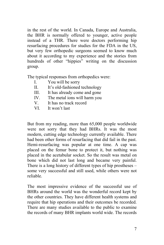in the rest of the world. In Canada, Europe and Australia, the BHR is normally offered to younger, active people instead of a THR. There were doctors performing hip resurfacing procedures for studies for the FDA in the US, but very few orthopedic surgeons seemed to know much about it according to my experience and the stories from hundreds of other "hippies" writing on the discussion group.

The typical responses from orthopedics were:

- I. You will be sorry
- II. It's old-fashioned technology<br>III. It has already come and gone<br>IV. The metal ions will harm you
- It has already come and gone
- IV. The metal ions will harm you<br>V. It has no track record
- It has no track record
- VI. It won't last

But from my reading, more than 65,000 people worldwide were not sorry that they had BHRs. It was the most modern, cutting edge technology currently available. There had been other forms of resurfacing that did fail in the past. Hemi-resurfacing was popular at one time. A cap was placed on the femur bone to protect it, but nothing was placed in the acetabular socket. So the result was metal on bone which did not last long and became very painful. There is a long history of different types of hip prostheses – some very successful and still used, while others were not reliable.

The most impressive evidence of the successful use of BHRs around the world was the wonderful record kept by the other countries. They have different health systems and require that hip operations and their outcomes be recorded. There are many studies available to the public to examine the records of many BHR implants world wide. The records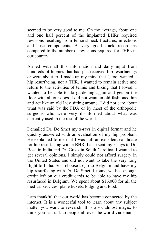seemed to be very good to me. On the average, about one and one half percent of the implanted BHRs required revisions resulting from femoral neck fractures, infections and lose components. A very good track record as compared to the number of revisions required for THRs in our country.

Armed with all this information and daily input from hundreds of hippies that had just received hip resurfacings or were about to, I made up my mind that I, too, wanted a hip resurfacing, not a THR. I wanted to remain active and return to the activities of tennis and biking that I loved. I wanted to be able to do gardening again and get on the floor with all our dogs. I did not want an old-fashioned hip and act like an old lady sitting around. I did not care about what was said by the FDA or by most of the orthopedic surgeons who were very ill-informed about what was currently used in the rest of the world.

I emailed Dr. De Smet my x-rays in digital format and he quickly answered with an evaluation of my hip problem. He explained to me that I was still an excellent candidate for hip resurfacing with a BHR. I also sent my x-rays to Dr. Bose in India and Dr. Gross in South Carolina. I wanted to get several opinions. I simply could not afford surgery in the United States and did not want to take the very long flight to India. So I choose to go to Belgium and have my hip resurfacing with Dr. De Smet. I found we had enough credit left on our credit cards to be able to have my hip resurfaced in Belgium. We spent about \$16,000 for all the medical services, plane tickets, lodging and food.

I am thankful that our world has become connected by the internet. It is a wonderful tool to learn about any subject matter you want to research. It is also, almost magic, to think you can talk to people all over the world via email. I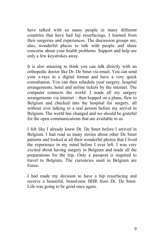have talked with so many people in many different countries that have had hip resurfacings. I learned from their surgeries and experiences. The discussion groups are, also, wonderful places to talk with people and share concerns about your health problems. Support and help are only a few keystrokes away.

It is also amazing to think you can talk directly with an orthopedic doctor like Dr. De Smet via email. You can send your x-rays in a digital format and have a very quick consultation. You can then schedule your surgery, hospital arrangements, hotel and airline tickets by the internet. The computer connects the world. I made all my surgery arrangements via internet – then hopped on a plane, flew to Belgium and checked into the hospital for surgery, all without ever talking to a real person before my arrival in Belgium. The world has changed and we should be grateful for the open communications that are available to us.

I felt like I already knew Dr. De Smet before I arrived in Belgium. I had read so many stories about other De Smet patients and looked at all their wonderful photos that I lived the experience in my mind before I ever left. I was very excited about having surgery in Belgium and made all the preparations for the trip. Only a passport is required to travel to Belgium. The currencies used in Belgium are Euros.

I had made my decision to have a hip resurfacing and receive a beautiful, brand-new BHR from Dr. De Smet. Life was going to be good once again.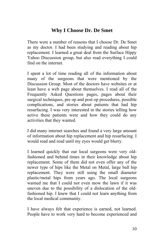# **Why I Choose Dr. De Smet**

There were a number of reasons that I choose Dr. De Smet as my doctor. I had been studying and reading about hip replacement. I learned a great deal from the Surface Hippy Yahoo Discussion group, but also read everything I could find on the internet.

I spent a lot of time reading all of the information about many of the surgeons that were mentioned by the Discussion Group. Most of the doctors have websites or at least have a web page about themselves. I read all of the Frequently Asked Questions pages, pages about their surgical techniques, pre op and post op procedures, possible complications, and stories about patients that had hip resurfacing. I was very interested in the stories telling how active these patients were and how they could do any activities that they wanted.

I did many internet searches and found a very large amount of information about hip replacement and hip resurfacing. I would read and read until my eyes would get blurry.

I learned quickly that our local surgeons were very oldfashioned and behind times in their knowledge about hip replacement. Some of them did not even offer any of the newer type of hips like the Metal on Metal, large ball hip replacement. They were still using the small diameter plastic/metal hips from years ago. The local surgeons warned me that I could not even mow the lawn if it was uneven due to the possibility of a dislocation of the oldfashioned hip. I knew that I could not learn anything from the local medical community.

I have always felt that experience is earned, not learned. People have to work very hard to become experienced and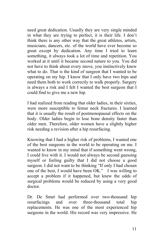need great dedication. Usually they are very single minded in what they are trying to perfect, it is their life. I don't think there is any other way that the great athletes, artists, musicians, dancers, etc. of the world have ever become so great except by dedication. Any time I tried to learn something, it always took a lot of time and repetition. You worked at it until it became second nature to you. You did not have to think about every move, you instinctively knew what to do. That is the kind of surgeon that I wanted to be operating on my hip. I know that I only have two hips and need them both to work correctly to walk properly. Surgery is always a risk and I felt I wanted the best surgeon that I could find to give me a new hip.

I had realized from reading that older ladies, in their sixties, were more susceptible to femur neck fractures. I learned that it is usually the result of postmenopausal effects on the body. Older ladies begin to lose bone density faster than older men. Therefore, older women have a slightly higher risk needing a revision after a hip resurfacing.

Knowing that I had a higher risk of problems, I wanted one of the best surgeons in the world to be operating on me. I wanted to know in my mind that if something went wrong, I could live with it. I would not always be second guessing myself or feeling guilty that I did not choose a good surgeon. I did not want to be thinking "If only I had chosen one of the best, I would have been OK." I was willing to accept a problem if it happened, but knew the odds of surgical problems would be reduced by using a very good doctor.

Dr. De Smet had performed over two-thousand hip resurfacings and over three-thousand total hip replacements. He was one of the most experienced hip surgeons in the world. His record was very impressive. He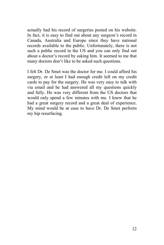actually had his record of surgeries posted on his website. In fact, it is easy to find out about any surgeon's record in Canada, Australia and Europe since they have national records available to the public. Unfortunately, there is not such a public record in the US and you can only find out about a doctor's record by asking him. It seemed to me that many doctors don't like to be asked such questions.

I felt Dr. De Smet was the doctor for me. I could afford his surgery, or at least I had enough credit left on my credit cards to pay for the surgery. He was very easy to talk with via email and he had answered all my questions quickly and fully. He was very different from the US doctors that would only spend a few minutes with me. I knew that he had a great surgery record and a great deal of experience. My mind would be at ease to have Dr. De Smet perform my hip resurfacing.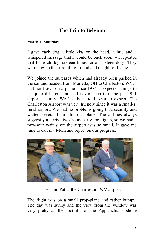# **The Trip to Belgium**

#### **March 11 Saturday**

I gave each dog a little kiss on the head, a hug and a whispered message that I would be back soon. – I repeated that for each dog, sixteen times for all sixteen dogs. They were now in the care of my friend and neighbor, Jeanie.

We joined the suitcases which had already been packed in the car and headed from Marietta, OH to Charleston, WV. I had not flown on a plane since 1974. I expected things to be quite different and had never been thru the post 911 airport security. We had been told what to expect. The Charleston Airport was very friendly since it was a smaller, rural airport. We had no problems going thru security and waited several hours for our plane. The airlines always suggest you arrive two hours early for flights, so we had a two-hour wait since the airport was so small. It gave me time to call my Mom and report on our progress.



Ted and Pat at the Charleston, WV airport

The flight was on a small prop-plane and rather bumpy. The day was sunny and the view from the window was very pretty as the foothills of the Appalachians shone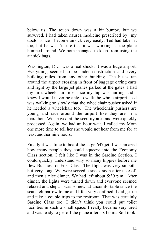below us. The touch down was a bit bumpy, but we survived. I had taken nausea medicine prescribed by my doctor since I become airsick very easily. Ted had taken it too, but he wasn't sure that it was working as the plane bumped around. We both managed to keep from using the air sick bags.

Washington, D.C. was a real shock. It was a huge airport. Everything seemed to be under construction and every building miles from any other building. The buses ran around the airport crossing in front of baggage caring carts and right by the large jet planes parked at the gates. I had my first wheelchair ride since my hip was hurting and I knew I would never be able to walk the whole airport. Ted was walking so slowly that the wheelchair pusher asked if he needed a wheelchair too. The wheelchair pushers are young and race around the airport like they are in a marathon. We arrived at the security area and were quickly processed. Again, we had an hour wait. I called my Mom one more time to tell her she would not hear from me for at least another nine hours.

Finally it was time to board the large 647 jet. I was amazed how many people they could squeeze into the Economy Class section. I felt like I was in the Sardine Section. I could quickly understand why so many hippies before me flew Business or First Class. The flight was very smooth, but very long. We were served a snack soon after take off and then a nice dinner. We had left about 5:30 p.m.. After dinner, the lights were turned down and everyone seemed relaxed and slept. I was somewhat uncomfortable since the seats felt narrow to me and I felt very confined. I did get up and take a couple trips to the restroom. That was certainly Sardine Class too. I didn't think you could put toilet facilities in such a small space. I really became very tired and was ready to get off the plane after six hours. So I took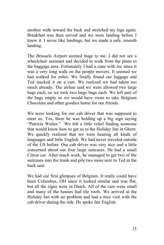another walk toward the back and stretched my legs again. Breakfast was then served and we were landing before I knew it. I never like landings, but we made a safe, smooth landing.

The Brussels Airport seemed huge to me. I did not see a wheelchair assistant and decided to walk from the plane to the baggage area. Fortunately I had a cane with me since it was a very long walk on the people movers. It seemed we had walked for miles. We finally found our luggage and Ted stacked it on a cart. We realized we had taken too much already. The airline said we were allowed two large bags each, so we took two large bags each. We left part of the bags empty so we would have room to take Belgium Chocolate and other goodies home for our friends.

We were looking for our cab driver that was supposed to meet us. Yes, there he was holding up a big sign saying "Patricia Walter." We felt a little relief finding someone that would know how to get us to the Holiday Inn in Ghent. We quickly realized that we were hearing all kinds of languages and little English. We had never traveled outside of the US before. Our cab driver was very nice and a little concerned about our four large suitcases. He had a small Citron car. After much work, he managed to get two of the suitcases into the trunk and pile two more next to Ted in the back seat.

We had our first glimpses of Belgium. It really could have been Columbus, OH since it looked similar and was flat, but all the signs were in Dutch. All of the cars were small and many of the houses had tile roofs. We arrived at the Holiday Inn with no problem and had a nice visit with the cab driver during the ride. He spoke fair English.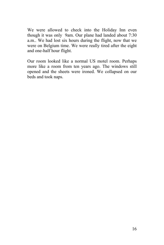We were allowed to check into the Holiday Inn even though it was only 9am. Our plane had landed about 7:30 a.m.. We had lost six hours during the flight, now that we were on Belgium time. We were really tired after the eight and one-half hour flight.

Our room looked like a normal US motel room. Perhaps more like a room from ten years ago. The windows still opened and the sheets were ironed. We collapsed on our beds and took naps.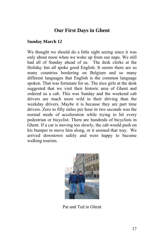# **Our First Days in Ghent**

#### **Sunday March 12**

We thought we should do a little sight seeing since it was only about noon when we woke up from our naps. We still had all of Sunday ahead of us. The desk clerks at the Holiday Inn all spoke good English. It seems there are so many countries bordering on Belgium and so many different languages that English is the common language spoken. That was fortunate for us. The nice girls at the desk suggested that we visit their historic area of Ghent and ordered us a cab. This was Sunday and the weekend cab drivers are much more wild in their driving than the weekday drivers. Maybe it is because they are part time drivers. Zero to fifty miles per hour in two seconds was the normal mode of acceleration while trying to hit every pedestrian or bicyclist. There are hundreds of bicyclists in Ghent. If a car is moving too slowly, the cab would push on his bumper to move him along, or it seemed that way. We arrived downtown safely and were happy to become walking tourists.



Pat and Ted in Ghent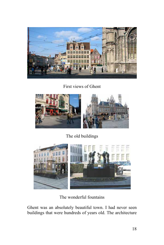

First views of Ghent



The old buildings



The wonderful fountains

Ghent was an absolutely beautiful town. I had never seen buildings that were hundreds of years old. The architecture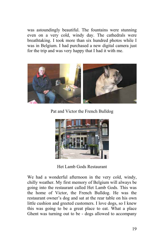was astoundingly beautiful. The fountains were stunning even on a very cold, windy day. The cathedrals were breathtaking. I took more than six hundred photos while I was in Belgium. I had purchased a new digital camera just for the trip and was very happy that I had it with me.



Pat and Victor the French Bulldog



Het Lamb Gods Restaurant

We had a wonderful afternoon in the very cold, windy, chilly weather. My first memory of Belgium will always be going into the restaurant called Het Lamb Gods. This was the home of Victor, the French Bulldog. He was the restaurant owner's dog and sat at the rear table on his own little cushion and greeted customers. I love dogs, so I knew this was going to be a great place to eat. What a place Ghent was turning out to be - dogs allowed to accompany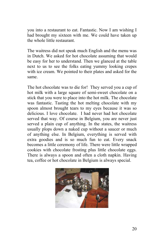you into a restaurant to eat. Fantastic. Now I am wishing I had brought my sixteen with me. We could have taken up the whole little restaurant.

The waitress did not speak much English and the menu was in Dutch. We asked for hot chocolate assuming that would be easy for her to understand. Then we glanced at the table next to us to see the folks eating yummy looking crepes with ice cream. We pointed to their plates and asked for the same.

The hot chocolate was to die for! They served you a cup of hot milk with a large square of semi-sweet chocolate on a stick that you were to place into the hot milk. The chocolate was fantastic. Tasting the hot melting chocolate with my spoon almost brought tears to my eyes because it was so delicious. I love chocolate. I had never had hot chocolate served that way. Of course in Belgium, you are never just served a plain cup of anything. In the states, the waitress usually plops down a naked cup without a saucer or much of anything else. In Belgium, everything is served with extra goodies and is so much fun to eat. Every snack becomes a little ceremony of life. There were little wrapped cookies with chocolate frosting plus little chocolate eggs. There is always a spoon and often a cloth napkin. Having tea, coffee or hot chocolate in Belgium is always special.

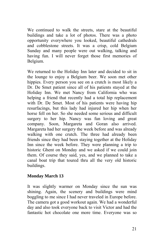We continued to walk the streets, stare at the beautiful buildings and take a lot of photos. There was a photo opportunity everywhere you looked, beautiful cathedrals and cobblestone streets. It was a crisp, cold Belgium Sunday and many people were out walking, talking and having fun. I will never forget those first memories of Belgium.

We returned to the Holiday Inn later and decided to sit in the lounge to enjoy a Belgium beer. We soon met other hippies. Every person you see on a crutch is most likely a Dr. De Smet patient since all of his patients stayed at the Holiday Inn. We met Nancy from California who was helping a friend that recently had a total hip replacement with Dr. De Smet. Most of his patients were having hip resurfacings, but this lady had injured her hip when her horse fell on her. So she needed some serious and difficult surgery to her hip. Nancy was fun loving and great company. Soon, Margareta and Goran also arrived. Margareta had her surgery the week before and was already walking with one crutch. The three had already been friends since they had been staying together at the Holiday Inn since the week before. They were planning a trip to historic Ghent on Monday and we asked if we could join them. Of course they said, yes, and we planned to take a canal boat trip that toured thru all the very old historic buildings.

#### **Monday March 13**

It was slightly warmer on Monday since the sun was shining. Again, the scenery and buildings were mind boggling to me since I had never traveled in Europe before. The camera got a good workout again. We had a wonderful day and also took everyone back to visit Victor and had the fantastic hot chocolate one more time. Everyone was so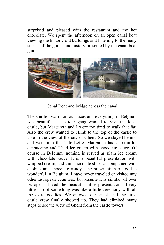surprised and pleased with the restaurant and the hot chocolate. We spent the afternoon on an open canal boat viewing the historic old buildings and listening to the many stories of the guilds and history presented by the canal boat guide.



Canal Boat and bridge across the canal

The sun felt warm on our faces and everything in Belgium was beautiful. The tour gang wanted to visit the local castle, but Margareta and I were too tired to walk that far. Also the crew wanted to climb to the top of the castle to take in the view of the city of Ghent. So we stayed behind and went into the Café Leffe. Margareta had a beautiful cappuccino and I had ice cream with chocolate sauce. Of course in Belgium, nothing is served as plain ice cream with chocolate sauce. It is a beautiful presentation with whipped cream, and thin chocolate slices accompanied with cookies and chocolate candy. The presentation of food is wonderful in Belgium. I have never traveled or visited any other European countries, but assume it is similar all over Europe. I loved the beautiful little presentations. Every little cup of something was like a little ceremony with all the extra goodies. We enjoyed our snack and the tired castle crew finally showed up. They had climbed many steps to see the view of Ghent from the castle towers.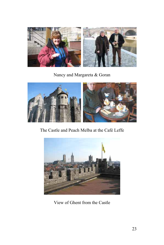

Nancy and Margareta & Goran



The Castle and Peach Melba at the Café Leffe



View of Ghent from the Castle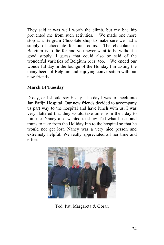They said it was well worth the climb, but my bad hip prevented me from such activities. We made one more stop at a Belgium Chocolate shop to make sure we had a supply of chocolate for our rooms. The chocolate in Belgium is to die for and you never want to be without a good supply. I guess that could also be said of the wonderful varieties of Belgium beer, too. We ended our wonderful day in the lounge of the Holiday Inn tasting the many beers of Belgium and enjoying conversation with our new friends.

#### **March 14 Tuesday**

D-day, or I should say H-day. The day I was to check into Jan Pafijn Hospital. Our new friends decided to accompany us part way to the hospital and have lunch with us. I was very flattered that they would take time from their day to join me. Nancy also wanted to show Ted what buses and trams to take from the Holiday Inn to the hospital so that he would not get lost. Nancy was a very nice person and extremely helpful. We really appreciated all her time and effort.



Ted, Pat, Margareta & Goran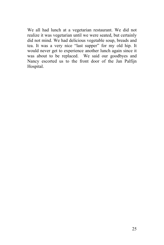We all had lunch at a vegetarian restaurant. We did not realize it was vegetarian until we were seated, but certainly did not mind. We had delicious vegetable soup, breads and tea. It was a very nice "last supper" for my old hip. It would never get to experience another lunch again since it was about to be replaced. We said our goodbyes and Nancy escorted us to the front door of the Jan Palfijn Hospital.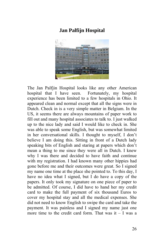# **Jan Palfijn Hospital**



The Jan Palfjin Hospital looks like any other American hospital that I have seen. Fortunately, my hospital experience has been limited to a few hospitals in Ohio. It appeared clean and normal except that all the signs were in Dutch. Check in is a very simple matter in Belgium. In the US, it seems there are always mountains of paper work to fill out and many hospital associates to talk to. I just walked up to the nice lady and said I would like to check in. She was able to speak some English, but was somewhat limited in her conversational skills. I thought to myself, I don't believe I am doing this. Sitting in front of a Dutch lady speaking bits of English and staring at papers which don't mean a thing to me since they were all in Dutch. I knew why I was there and decided to have faith and continue with my registration. I had known many other hippies had gone before me and their outcomes were great. So I signed my name one time at the place she pointed to. To this day, I have no idea what I signed, but I do have a copy of the papers. It only took my signature on one piece of paper to be admitted. Of course, I did have to hand her my credit card to make the full payment of six thousand Euros to cover my hospital stay and all the medical expenses. She did not need to know English to swipe the card and take the payment. It was painless and I signed my name just one more time to the credit card form. That was it – I was a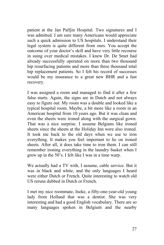patient at the Jan Palfjin Hospital. Two signatures and I was admitted. I am sure many Americans would appreciate such a quick admission to US hospitals. I understand their legal system is quite different from ours. You accept the outcome of your doctor's skill and have very little recourse in suing over medical mistakes. I knew Dr. De Smet had already successfully operated on more than two thousand hip resurfacing patients and more than three thousand total hip replacement patients. So I felt his record of successes would be my insurance to a great new BHR and a fast recovery.

I was assigned a room and managed to find it after a few false starts. Again, the signs are in Dutch and not always easy to figure out. My room was a double and looked like a typical hospital room. Maybe, a bit more like a room in an American hospital from 10 years ago. But it was clean and even the sheets were ironed along with the surgical gown. That was a nice surprise. I assume Belgians like ironed sheets since the sheets at the Holiday Inn were also ironed. It took me back to the old days when we use to iron everything. It makes you feel important to lie on ironed sheets. After all, it does take time to iron them. I can still remember ironing everything in the laundry basket when I grew up in the 50's. I felt like I was in a time warp.

We actually had a TV with, I assume, cable service. But it was in black and white, and the only languages I heard were either Dutch or French. Quite interesting to watch old US reruns dubbed in Dutch or French.

I met my nice roommate, Ineke, a fifty-one-year-old young lady from Holland that was a dentist. She was very interesting and had a good English vocabulary. There are so many languages spoken in Belgium and the nearby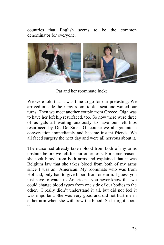countries that English seems to be the common denominator for everyone.



Pat and her roommate Ineke

We were told that it was time to go for our pretesting. We arrived outside the x-ray room, took a seat and waited our turns. Then we meet another couple from Greece. Olga was to have her left hip resurfaced, too. So now there were three of us gals all waiting anxiously to have our left hips resurfaced by Dr. De Smet. Of course we all got into a conversation immediately and became instant friends. We all faced surgery the next day and were all nervous about it.

The nurse had already taken blood from both of my arms upstairs before we left for our other tests. For some reason, she took blood from both arms and explained that it was Belgium law that she takes blood from both of my arms since I was an American. My roommate who was from Holland, only had to give blood from one arm. I guess you just have to watch us Americans, you never know that we could change blood types from one side of our bodies to the other. I really didn't understand it all, but did not feel it was important. She was very good and did not hurt me in either arm when she withdrew the blood. So I forgot about it.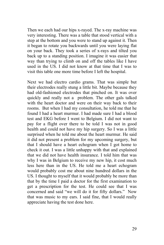Then we each had our hips x-rayed. The x-ray machine was very interesting. There was a table that stood vertical with a step at the bottom and you were to stand up against it. Then it began to rotate you backwards until you were laying flat on your back. They took a series of x-rays and tilted you back up to a standing position. I imagine it was easier that way than trying to climb on and off the tables like I have used in the US. I did not know at that time that I was to visit this table one more time before I left the hospital.

Next we had electro cardio grams. That was simple but their electrodes really stung a little bit. Maybe because they had old-fashioned electrodes that pinched on. It was over quickly and really not a problem. The other gals talked with the heart doctor and were on their way back to their rooms. But when I had my consultation, he told me that he found I had a heart murmur. I had made sure I had a blood test and EKG before I went to Belgium. I did not want to pay for a flight over there to be told I was not in good health and could not have my hip surgery. So I was a little surprised when he told me about the heart murmur. He said it did not present a problem for my upcoming surgery, but that I should have a heart echogram when I got home to check it out. I was a little unhappy with that and explained that we did not have health insurance. I told him that was why I was in Belgium to receive my new hip, it cost much less here than in the US. He told me a heart echogram would probably cost me about nine hundred dollars in the US. I thought to myself that it would probably be more than that by the time I paid a doctor for the first examination to get a prescription for the test. He could see that I was concerned and said "we will do it for fifty dollars." Now that was music to my ears. I said fine, that I would really appreciate having the test done here.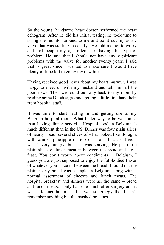So the young, handsome heart doctor performed the heart echogram. After he did his initial testing, he took time to swing the monitor around to me and point out my aortic valve that was starting to calcify. He told me not to worry and that people my age often start having this type of problem. He said that I should not have any significant problems with the valve for another twenty years. I said that is great since I wanted to make sure I would have plenty of time left to enjoy my new hip.

Having received good news about my heart murmur, I was happy to meet up with my husband and tell him all the good news. Then we found our way back to my room by reading some Dutch signs and getting a little first hand help from hospital staff.

It was time to start settling in and getting use to my Belgium hospital room. What better way to be welcomed than having dinner served! Hospital food in Belgium is much different than in the US. Dinner was four plain slices of hearty bread, several slices of what looked like Bologna with canned pineapple on top of it and black coffee. I wasn't very hungry, but Ted was starving. He put those plain slices of lunch meat in-between the bread and ate a feast. You don't worry about condiments in Belgium, I guess you are just supposed to enjoy the full-bodied flavor of whatever you place in-between the bread. I found out the plain hearty bread was a staple in Belgium along with a normal assortment of cheeses and lunch meats. The hospital breakfast and dinners were all the same – bread and lunch meats. I only had one lunch after surgery and it was a fancier hot meal, but was so groggy that I can't remember anything but the mashed potatoes.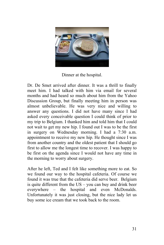

Dinner at the hospital.

Dr. De Smet arrived after dinner. It was a thrill to finally meet him. I had talked with him via email for several months and had heard so much about him from the Yahoo Discussion Group, but finally meeting him in person was almost unbelievable. He was very nice and willing to answer any questions. I did not have many since I had asked every conceivable question I could think of prior to my trip to Belgium. I thanked him and told him that I could not wait to get my new hip. I found out I was to be the first in surgery on Wednesday morning. I had a 7:30 a.m. appointment to receive my new hip. He thought since I was from another country and the oldest patient that I should go first to allow me the longest time to recover. I was happy to be first on the agenda since I would not have any time in the morning to worry about surgery.

After he left, Ted and I felt like something more to eat. So we found our way to the hospital cafeteria. Of course we found it was true that the cafeteria did serve beer. Belgium is quite different from the  $US - you$  can buy and drink beer everywhere – the hospital and even McDonalds. Unfortunately it was just closing, but the nice lady let us buy some ice cream that we took back to the room.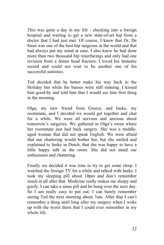This was quite a day in my life - checking into a foreign hospital and waiting to get a new state-of-art hip from a doctor that I had just met. Of course, I knew that Dr. De Smet was one of the best hip surgeons in the world and that had always put my mind at ease. I also knew he had done more than two thousand hip resurfacings and only had one revision from a femur head fracture. I loved his fantastic record and could not wait to be another one of his successful statistics.

Ted decided that he better make his way back to the Holiday Inn while the busses were still running. I kissed him good-by and told him that I would see him first thing in the morning.

Olga, my new friend from Greece, and Ineke, my roommate, and I decided we would get together and chat for a while. We were all nervous and anxious about tomorrow's surgeries. We gathered in Olga's room where her roommate just had back surgery. She was a middleaged woman that did not speak English. We were afraid that our chattering would bother her, but she smiled and explained to Ineke in Dutch, that she was happy to have a little happy talk in the room. She did not mind our enthusiasm and chattering.

Finally we decided it was time to try to get some sleep. I watched the foreign TV for a while and talked with Ineke. I took my sleeping pill about 10pm and don't remember much at all after that. Medicine really makes me sleepy and goofy. I can take a sinus pill and be hung over the next day. So I am really easy to put out. I can barely remember seeing Ted the next morning about 7am. After that I can't remember a thing until long after my surgery when I woke up with the worst thirst that I could ever remember in my whole life.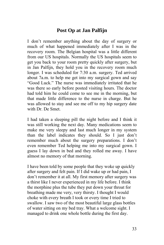# **Post Op at Jan Palfijn**

I don't remember anything about the day of surgery or much of what happened immediately after I was in the recovery room. The Belgian hospital was a little different from our US hospitals. Normally the US hospitals seem to get you back to your room pretty quickly after surgery, but in Jan Palfijn, they hold you in the recovery room much longer. I was scheduled for 7:30 a.m. surgery. Ted arrived about 7a.m. to help me get into my surgical gown and say "Good Luck." The nurse was immediately irritated that he was there so early before posted visiting hours. The doctor had told him he could come to see me in the morning, but that made little difference to the nurse in charge. But he was allowed to stay and see me off to my hip surgery date with Dr. De Smet.

I had taken a sleeping pill the night before and I think it was still working the next day. Many medications seem to make me very sleepy and last much longer in my system than the label indicates they should. So I just don't remember much about the surgery preparations. I don't even remember Ted helping me into my surgical gown. I guess I lay down in bed and they rolled me away. I have almost no memory of that morning.

I have been told by some people that they woke up quickly after surgery and felt pain. If I did wake up or had pain, I don't remember it at all. My first memory after surgery was a thirst like I never experienced in my life before. I think the morphine plus the tube they put down your throat for breathing made me very, very thirsty. I thought I would choke with every breath I took or every time I tried to swallow. I saw two of the most beautiful large glass bottles of water sitting on my bed tray. What a welcome sight. I managed to drink one whole bottle during the first day.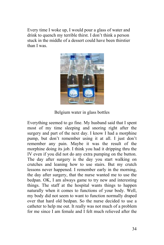Every time I woke up, I would pour a glass of water and drink to quench my terrible thirst. I don't think a person stuck in the middle of a dessert could have been thirstier than I was.



Belgium water in glass bottles

Everything seemed to go fine. My husband said that I spent most of my time sleeping and snoring right after the surgery and part of the next day. I know I had a morphine pump, but don't remember using it at all. I just don't remember any pain. Maybe it was the result of the morphine doing its job. I think you had it dripping thru the IV even if you did not do any extra pumping on the button. The day after surgery is the day you start walking on crutches and leaning how to use stairs. But my crutch lessons never happened. I remember early in the morning, the day after surgery, that the nurse wanted me to use the bedpan. OK, I am always game to try new and interesting things. The staff at the hospital wants things to happen naturally when it comes to functions of your body. Well, my body did not seem to want to function normally draped over that hard old bedpan. So the nurse decided to use a catheter to help me out. It really was not much of a problem for me since I am female and I felt much relieved after the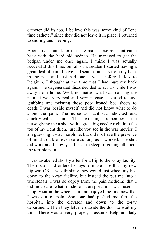catheter did its job. I believe this was some kind of "one time catheter" since they did not leave it in place. I returned to snoring and sleeping.

About five hours later the cute male nurse assistant came back with the hard old bedpan. He managed to get the bedpan under me once again. I think I was actually successful this time, but all of a sudden I started having a great deal of pain. I have had sciatica attacks from my back in the past and just had one a week before I flew to Belgium. I thought at the time that I had hurt my back again. The degenerated discs decided to act up while I was away from home. Well, no matter what was causing the pain, it was very real and very intense. I started to cry, grabbing and twisting those poor ironed bed sheets to death. I was beside myself and did not know what to do about the pain. The nurse assistant was shocked and quickly called a nurse. The next thing I remember is the nurse giving me a shot with a great big needle right into the top of my right thigh, just like you see in the war movies. I am guessing it was morphine, but did not have the presence of mind to ask or even care as long as it worked. The shot did work and I slowly fell back to sleep forgetting all about the terrible pain.

I was awakened shortly after for a trip to the x-ray facility. The doctor had ordered x-rays to make sure that my new hip was OK. I was thinking they would just wheel my bed down to the x-ray facility, but instead the put me into a wheelchair. I was so dopey from the pain medicine that I did not care what mode of transportation was used. I happily sat in the wheelchair and enjoyed the ride now that I was out of pain. Someone had pushed me thru the hospital, into the elevator and down to the x-ray department. Then they left me outside the door to wait my turn. There was a very proper, I assume Belgium, lady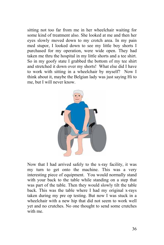sitting not too far from me in her wheelchair waiting for some kind of treatment also. She looked at me and then her eyes slowly moved down to my crotch area. In my pain med stupor, I looked down to see my little boy shorts I purchased for my operation, were wide open. They had taken me thru the hospital in my little shorts and a tee shirt. So in my goofy state I grabbed the bottom of my tee shirt and stretched it down over my shorts! What else did I have to work with sitting in a wheelchair by myself? Now I think about it, maybe the Belgian lady was just saying Hi to me, but I will never know.



Now that I had arrived safely to the x-ray facility, it was my turn to get onto the machine. This was a very interesting piece of equipment. You would normally stand with your back to the table while standing on a step that was part of the table. Then they would slowly tilt the table back. This was the table where I had my original x-rays taken during my pre op testing. But now I was stuck in a wheelchair with a new hip that did not seem to work well yet and no crutches. No one thought to send some crutches with me.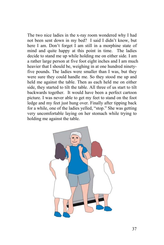The two nice ladies in the x-ray room wondered why I had not been sent down in my bed? I said I didn't know, but here I am. Don't forget I am still in a morphine state of mind and quite happy at this point in time. The ladies decide to stand me up while holding me on either side. I am a rather large person at five foot eight inches and I am much heavier that I should be, weighing in at one hundred ninetyfive pounds. The ladies were smaller than I was, but they were sure they could handle me. So they stood me up and held me against the table. Then as each held me on either side, they started to tilt the table. All three of us start to tilt backwards together. It would have been a perfect cartoon picture. I was never able to get my feet to stand on the foot ledge and my feet just hung over. Finally after tipping back for a while, one of the ladies yelled, "stop." She was getting very uncomfortable laying on her stomach while trying to holding me against the table.

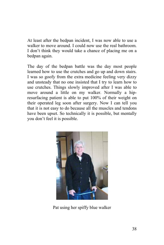At least after the bedpan incident, I was now able to use a walker to move around. I could now use the real bathroom. I don't think they would take a chance of placing me on a bedpan again.

The day of the bedpan battle was the day most people learned how to use the crutches and go up and down stairs. I was so goofy from the extra medicine feeling very dizzy and unsteady that no one insisted that I try to learn how to use crutches. Things slowly improved after I was able to move around a little on my walker. Normally a hipresurfacing patient is able to put 100% of their weight on their operated leg soon after surgery. Now I can tell you that it is not easy to do because all the muscles and tendons have been upset. So technically it is possible, but mentally you don't feel it is possible.



Pat using her spiffy blue walker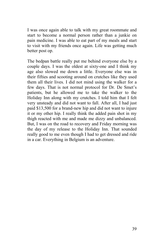I was once again able to talk with my great roommate and start to become a normal person rather than a junkie on pain medicine. I was able to eat part of my meals and start to visit with my friends once again. Life was getting much better post op.

The bedpan battle really put me behind everyone else by a couple days. I was the oldest at sixty-one and I think my age also slowed me down a little. Everyone else was in their fifties and scooting around on crutches like they used them all their lives. I did not mind using the walker for a few days. That is not normal protocol for Dr. De Smet's patients, but he allowed me to take the walker to the Holiday Inn along with my crutches. I told him that I felt very unsteady and did not want to fall. After all, I had just paid \$13,500 for a brand-new hip and did not want to injure it or my other hip. I really think the added pain shot in my thigh reacted with me and made me dizzy and unbalanced. But, I was on the road to recovery and Friday morning was the day of my release to the Holiday Inn. That sounded really good to me even though I had to get dressed and ride in a car. Everything in Belgium is an adventure.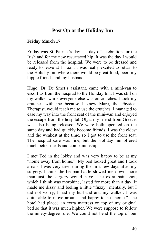# **Post Op at the Holiday Inn**

#### **Friday March 17**

Friday was St. Patrick's day – a day of celebration for the Irish and for my new resurfaced hip. It was the day I would be released from the hospital. We were to be dressed and ready to leave at 11 a.m. I was really excited to return to the Holiday Inn where there would be great food, beer, my hippie friends and my husband.

Hugo, Dr. De Smet's assistant, came with a mini-van to escort us from the hospital to the Holiday Inn. I was still on my walker while everyone else was on crutches. I took my crutches with me because I knew Marc, the Physical Therapist, would teach me to use the crutches. I managed to ease my way into the front seat of the mini-van and enjoyed the escape from the hospital. Olga, my friend from Greece, was also being released. We were both operated on the same day and had quickly become friends. I was the eldest and the weakest at the time, so I got to use the front seat. The hospital care was fine, but the Holiday Inn offered much better meals and companionship.

I met Ted in the lobby and was very happy to be at my "home away from home." My bed looked great and I took a nap. I was very tired during the first few days after my surgery. I think the bedpan battle slowed me down more than just the surgery would have. The extra pain shot, which I think was morphine, lasted for more than a day. It made me dizzy and feeling a little "fuzzy" mentally, but I did not worry, I had my husband and my walker. I was quite able to move around and happy to be "home." The hotel had placed an extra mattress on top of my original bed so that it was much higher. We were suppose to follow the ninety-degree rule. We could not bend the top of our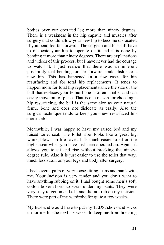bodies over our operated leg more than ninety degrees. There is a weakness in the hip capsule and muscles after surgery that could allow your new hip to become dislocated if you bend too far forward. The surgeon and his staff have to dislocate your hip to operate on it and it is done by bending it more than ninety degrees. There are explanations and videos of this process, but I have never had the courage to watch it. I just realize that there was an inherent possibility that bending too far forward could dislocate a new hip. This has happened in a few cases for hip resurfacing and for total hip replacements. It tends to happen more for total hip replacements since the size of the ball that replaces your femur bone is often smaller and can easily move out of place. That is one reason for choosing a hip resurfacing, the ball is the same size as your natural femur bone and does not dislocate as easily. Also the surgical technique tends to keep your new resurfaced hip more stable.

Meanwhile, I was happy to have my raised bed and my raised toilet seat. The toilet riser looks like a great big white, blown up life saver. It is much easier to sit on the higher seat when you have just been operated on. Again, it allows you to sit and rise without breaking the ninetydegree rule. Also it is just easier to use the toilet that way, much less strain on your legs and body after surgery.

I had several pairs of very loose fitting jeans and pants with me. Your incision is very tender and you don't want to have anything rubbing on it. I had bought some men's soft, cotton boxer shorts to wear under my pants. They were very easy to get on and off, and did not rub on my incision. There were part of my wardrobe for quite a few weeks.

My husband would have to put my TEDS, shoes and socks on for me for the next six weeks to keep me from breaking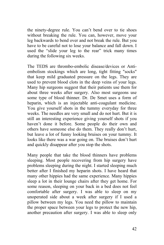the ninety-degree rule. You can't bend over to tie shoes without breaking the rule. You can, however, move your leg backwards to bend over and not break the rule. But you have to be careful not to lose your balance and fall down. I used the "slide your leg to the rear" trick many times during the following six weeks.

The TEDS are thrombo-embolic disease/devices or Antiembolism stockings which are long, tight fitting "socks" that keep mild graduated pressure on the legs. They are used to prevent blood clots in the deep veins of your legs. Many hip surgeons suggest that their patients use them for about three weeks after surgery. Also most surgeons use some type of blood thinner. Dr. De Smet uses a form of heparin, which is an injectable anti-coagulant medicine. You give yourself shots in the tummy everyday for three weeks. The needles are very small and do not hurt. But it is still an interesting experience giving yourself shots if you haven't done it before. Some people do their own and others have someone else do them. They really don't hurt, but leave a lot of funny looking bruises on your tummy. It looks like there was a war going on. The bruises don't hurt and quickly disappear after you stop the shots.

Many people that take the blood thinners have problems sleeping. Most people recovering from hip surgery have problems sleeping during the night. I started sleeping much better after I finished my heparin shots. I have heard that many other hippies had the same experience. Many hippies sleep a lot in their lounge chairs after they get home. For some reason, sleeping on your back in a bed does not feel comfortable after surgery. I was able to sleep on my unoperated side about a week after surgery if I used a pillow between my legs. You need the pillow to maintain the proper space between your legs to protect the new hip, another precaution after surgery. I was able to sleep only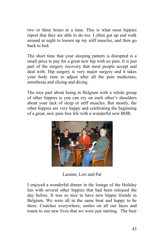two or three hours at a time. This is what most hippies report that they are able to do too. I often got up and walk around at night to loosen up my stiff muscles, and then go back to bed.

The short time that your sleeping pattern is disrupted is a small price to pay for a great new hip with no pain. It is just part of the surgery recovery that most people accept and deal with. Hip surgery is very major surgery and it takes your body time to adjust after all the pain medicines, anesthesia and slicing and dicing.

The nice part about being in Belgium with a whole group of other hippies is you can cry on each other's shoulders about your lack of sleep or stiff muscles. But mostly, the other hippies are very happy and celebrating the beginning of a great, new pain free life with a wonderful new BHR.



Laraine, Lori and Pat

I enjoyed a wonderful dinner in the lounge of the Holiday Inn with several other hippies that had been released the day before. It was so nice to have new hippie friends in Belgium. We were all in the same boat and happy to be there. Crutches everywhere, smiles on all our faces and toasts to our new lives that we were just starting. The beer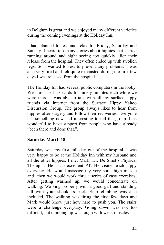in Belgium is great and we enjoyed many different varieties during the coming evenings at the Holiday Inn.

I had planned to rest and relax for Friday, Saturday and Sunday. I heard too many stories about hippies that started running around and sight seeing too quickly after their release from the hospital. They often ended up with swollen legs. So I wanted to rest to prevent any problems. I was also very tired and felt quite exhausted during the first few days I was released from the hospital.

The Holiday Inn had several public computers in the lobby. We purchased six cards for ninety minutes each while we were there. I was able to talk with all my surface hippy friends via internet from the Surface Hippy Yahoo Discussion Group. The group always likes to hear from hippies after surgery and follow their recoveries. Everyone has something new and interesting to tell the group. It is wonderful to have support from people who have already "been there and done that."

#### **Saturday March 18**

Saturday was my first full day out of the hospital. I was very happy to be at the Holiday Inn with my husband and all the other hippies. I met Mark, Dr. De Smet's Physical Therapist. He is an excellent PT. He visited each hippy everyday. He would massage my very sore thigh muscle and then we would work thru a series of easy exercises. After getting warmed up, we would concentrate on walking. Walking properly with a good gait and standing tall with your shoulders back. Stair climbing was also included. The walking was tiring the first few days and Mark would know just how hard to push you. The stairs were a challenge everyday. Going down was not too difficult, but climbing up was tough with weak muscles.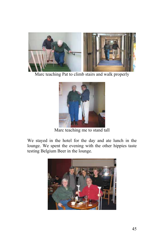

Marc teaching Pat to climb stairs and walk properly



Marc teaching me to stand tall

We stayed in the hotel for the day and ate lunch in the lounge. We spent the evening with the other hippies taste testing Belgium Beer in the lounge.

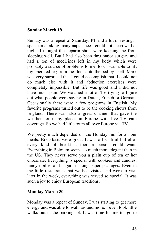#### **Sunday March 19**

Sunday was a repeat of Saturday. PT and a lot of resting. I spent time taking many naps since I could not sleep well at night. I thought the heparin shots were keeping me from sleeping well. But I had also been thru major surgery and had a ton of medicines left in my body which were probably a source of problems to me, too. I was able to lift my operated leg from the floor onto the bed by itself. Mark was very surprised that I could accomplish that. I could not do much else with it and abduction exercises were completely impossible. But life was good and I did not have much pain. We watched a lot of TV trying to figure out what people were saying in Dutch, French or German. Occasionally there were a few programs in English. My favorite programs turned out to be the cooking shows from England. There was also a great channel that gave the weather for many places in Europe with live TV cam coverage. So we had little tours all over Europe via TV.

We pretty much depended on the Holiday Inn for all our meals. Breakfasts were great. It was a beautiful buffet of every kind of breakfast food a person could want. Everything in Belgium seems so much more elegant than in the US. They never serve you a plain cup of tea or hot chocolate. Everything is special with cookies and candies, fancy doilies and sugars in long paper packages. Even in the little restaurants that we had visited and were to visit later in the week, everything was served so special. It was such a joy to enjoy European traditions.

#### **Monday March 20**

Monday was a repeat of Sunday. I was starting to get more energy and was able to walk around more. I even took little walks out in the parking lot. It was time for me to go to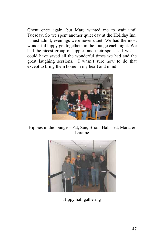Ghent once again, but Marc wanted me to wait until Tuesday. So we spent another quiet day at the Holiday Inn. I must admit, evenings were never quiet. We had the most wonderful hippy get togethers in the lounge each night. We had the nicest group of hippies and their spouses. I wish I could have saved all the wonderful times we had and the great laughing sessions. I wasn't sure how to do that except to bring them home in my heart and mind.



Hippies in the lounge – Pat, Sue, Brian, Hal, Ted, Mara, & Laraine



Hippy hall gathering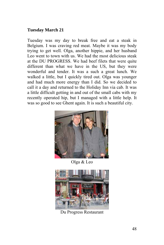#### **Tuesday March 21**

Tuesday was my day to break free and eat a steak in Belgium. I was craving red meat. Maybe it was my body trying to get well. Olga, another hippie, and her husband Leo went to town with us. We had the most delicious steak at the DU PROGRESS. We had beef filets that were quite different than what we have in the US, but they were wonderful and tender. It was a such a great lunch. We walked a little, but I quickly tired out. Olga was younger and had much more energy than I did. So we decided to call it a day and returned to the Holiday Inn via cab. It was a little difficult getting in and out of the small cabs with my recently operated hip, but I managed with a little help. It was so good to see Ghent again. It is such a beautiful city.



Olga & Leo



Du Progress Restaurant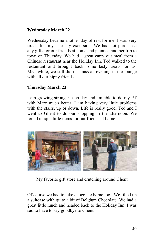### **Wednesday March 22**

Wednesday became another day of rest for me. I was very tired after my Tuesday excursion. We had not purchased any gifts for our friends at home and planned another trip to town on Thursday. We had a great carry out meal from a Chinese restaurant near the Holiday Inn. Ted walked to the restaurant and brought back some tasty treats for us. Meanwhile, we still did not miss an evening in the lounge with all our hippy friends.

#### **Thursday March 23**

I am growing stronger each day and am able to do my PT with Marc much better. I am having very little problems with the stairs, up or down. Life is really good. Ted and I went to Ghent to do our shopping in the afternoon. We found unique little items for our friends at home.



My favorite gift store and crutching around Ghent

Of course we had to take chocolate home too. We filled up a suitcase with quite a bit of Belgium Chocolate. We had a great little lunch and headed back to the Holiday Inn. I was sad to have to say goodbye to Ghent.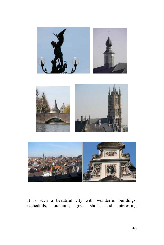





It is such a beautiful city with wonderful buildings, cathedrals, fountains, great shops and interesting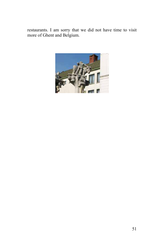restaurants. I am sorry that we did not have time to visit more of Ghent and Belgium.

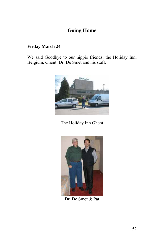# **Going Home**

#### **Friday March 24**

We said Goodbye to our hippie friends, the Holiday Inn, Belgium, Ghent, Dr. De Smet and his staff.



The Holiday Inn Ghent



Dr. De Smet & Pat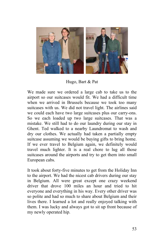

Hugo, Bart & Pat

We made sure we ordered a large cab to take us to the airport so our suitcases would fit. We had a difficult time when we arrived in Brussels because we took too many suitcases with us. We did not travel light. The airlines said we could each have two large suitcases plus our carry-ons. So we each loaded up two large suitcases. That was a mistake. We still had to do our laundry during our stay in Ghent. Ted walked to a nearby Laundromat to wash and dry our clothes. We actually had taken a partially empty suitcase assuming we would be buying gifts to bring home. If we ever travel to Belgium again, we definitely would travel much lighter. It is a real chore to lug all those suitcases around the airports and try to get them into small European cabs.

It took about forty-five minutes to get from the Holiday Inn to the airport. We had the nicest cab drivers during our stay in Belgium. All were great except one crazy weekend driver that drove 100 miles an hour and tried to hit everyone and everything in his way. Every other driver was so polite and had so much to share about Belgium and their lives there. I learned a lot and really enjoyed talking with them. I was lucky and always got to sit up front because of my newly operated hip.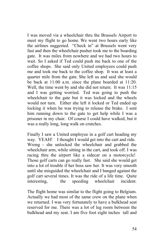I was moved via a wheelchair thru the Brussels Airport to meet my flight to go home. We went two hours early like the airlines suggested. "Check in" at Brussels went very fast and then the wheelchair pusher took me to the boarding gate. It was miles from nowhere and we had two hours to wait. So I asked if Ted could push me back to one of the coffee shops. She said only United employees could push me and took me back to the coffee shop. It was at least a quarter mile from the gate. She left us and said she would be back at 11:00 a.m. since the plane boarded at 11:20. Well, the time went by and she did not return. It was 11:15 and I was getting worried. Ted was going to push the wheelchair to the gate but it was locked and the wheels would not turn. Either she left it locked or Ted ended up locking it when he was trying to release the brake. I sent him running down to the gate to get help while I was a prisoner in my chair. Of course I could have walked, but it was a really long, long walk on crutches.

Finally I saw a United employee in a golf cart heading my way. YEAH! I thought I would get into the cart and ride. Wrong - she unlocked the wheelchair and grabbed the wheelchair arm, while sitting in the cart, and took off. I was racing thru the airport like a sidecar on a motorcycle! Those golf carts can go really fast. She said she would get into a lot of trouble if her boss saw her. It was very smooth until she misguided the wheelchair and I banged against the golf cart several times. It was the ride of a life time. Quite interesting, the speeding wheelchair incident.

The flight home was similar to the flight going to Belgium. Actually we had most of the same crew on the plane when we returned. I was very fortunately to have a bulkhead seat reserved for me. There was a lot of leg room between the bulkhead and my seat. I am five foot eight inches tall and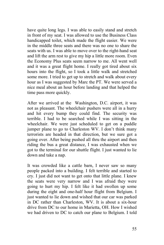have quite long legs. I was able to easily stand and stretch in front of my seat. I was allowed to use the Business Class handicapped toilet, which made the flight easier. We were in the middle three seats and there was no one to share the seats with us. I was able to move over to the right-hand seat and lift the arm rest to give my hip a little more room. Even the Economy Plus seats seem narrow to me. All went well and it was a great flight home. I really got tired about six hours into the flight, so I took a little walk and stretched some more. I tried to get up to stretch and walk about every hour as I was suggested by Marc the PT. We were served a nice meal about an hour before landing and that helped the time pass more quickly.

After we arrived at the Washington, D.C. airport, it was not as pleasant. The wheelchair pushers were all in a hurry and hit every bump they could find. The security was terrible. I had to be searched while I was sitting in the wheelchair. We were just scheduled to get on a puddle jumper plane to go to Charleston WV. I don't think many terrorists are headed in that direction, but we sure got a going over. After being pushed all thru the airport and then riding the bus a great distance, I was exhausted when we got to the terminal for our shuttle flight. I just wanted to lie down and take a nap.

It was crowded like a cattle barn, I never saw so many people packed into a building. I felt terrible and started to cry. I just did not want to get onto that little plane. I knew the seats were very narrow and I was afraid they were going to hurt my hip. I felt like it had swollen up some during the eight and one-half hour flight from Belgium. I just wanted to lie down and wished that our car was parked in DC rather than Charleston, WV. It is about a six-hour drive from DC to our home in Marietta, OH. How I wished we had driven to DC to catch our plane to Belgium. I told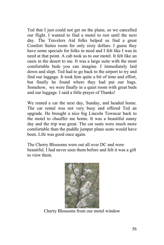Ted that I just could not get on the plane, so we cancelled our flight. I wanted to find a motel to rest until the next day. The Travelers Aid folks helped us find a great Comfort Suites room for only sixty dollars. I guess they have some specials for folks in need and I felt like I was in need at that point. A cab took us to our motel. It felt like an oasis in the desert to me. It was a large suite with the most comfortable beds you can imagine. I immediately laid down and slept. Ted had to go back to the airport to try and find our luggage. It took him quite a bit of time and effort, but finally he found where they had put our bags. Somehow, we were finally in a quiet room with great beds and our luggage. I said a little prayer of Thanks!

We rented a car the next day, Sunday, and headed home. The car rental was not very busy and offered Ted an upgrade. He brought a nice big Lincoln Towncar back to the motel to chauffer me home. It was a beautiful sunny day and the trip was great. The car seats were much more comfortable than the puddle jumper plane seats would have been. Life was good once again.

The Cherry Blossoms were out all over DC and were beautiful. I had never seen them before and felt it was a gift to view them.



Cherry Blossoms from our motel window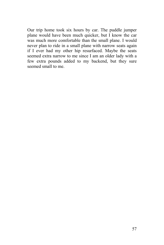Our trip home took six hours by car. The puddle jumper plane would have been much quicker, but I know the car was much more comfortable than the small plane. I would never plan to ride in a small plane with narrow seats again if I ever had my other hip resurfaced. Maybe the seats seemed extra narrow to me since I am an older lady with a few extra pounds added to my backend, but they sure seemed small to me.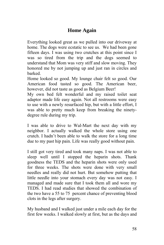# **Home Again**

Everything looked great as we pulled into our driveway at home. The dogs were ecstatic to see us. We had been gone fifteen days. I was using two crutches at this point since I was so tired from the trip and the dogs seemed to understand that Mom was very stiff and slow moving. They honored me by not jumping up and just ran in circles and barked.

Home looked so good. My lounge chair felt so good. Our American food tasted so good. The American beer, however, did not taste as good as Belgium Beer!

My own bed felt wonderful and my raised toilet seat adaptor made life easy again. Not all restrooms were easy to use with a newly resurfaced hip, but with a little effort, I was able to pretty much keep from breaking the ninetydegree rule during my trip.

I was able to drive to Wal-Mart the next day with my neighbor. I actually walked the whole store using one crutch. I hadn't been able to walk the store for a long time due to my past hip pain. Life was really good without pain.

I still got very tired and took many naps. I was not able to sleep well until I stopped the heparin shots. Thank goodness the TEDS and the heparin shots were only used for three weeks. The shots were done with very small needles and really did not hurt. But somehow putting that little needle into your stomach every day was not easy. I managed and made sure that I took them all and wore my TEDS. I had read studies that showed the combination of the two have a 55 to 75 percent chance of preventing blood clots in the legs after surgery.

My husband and I walked just under a mile each day for the first few weeks. I walked slowly at first, but as the days and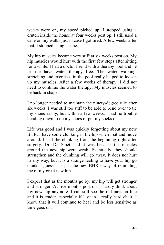weeks wore on, my speed picked up. I stopped using a crutch inside the house at four weeks post op. I still used a cane on my walks just in case I got tired. A few weeks after that, I stopped using a cane.

My hip muscles became very stiff at six weeks post op. My hip muscles would hurt with the first few steps after sitting for a while. I had a doctor friend with a therapy pool and he let me have water therapy free. The water walking, stretching and exercises in the pool really helped to loosen up my muscles. After a few weeks of therapy, I did not need to continue the water therapy. My muscles seemed to be back in shape.

I no longer needed to maintain the ninety-degree rule after six weeks. I was still too stiff to be able to bend over to tie my shoes easily, but within a few weeks, I had no trouble bending down to tie my shoes or put my socks on.

Life was good and I was quickly forgetting about my new BHR. I have some clunking in the hip when I sit and move around. I had the clunking from the beginning right after surgery. Dr. De Smet said it was because the muscles around the new hip were weak. Eventually, they should strengthen and the clunking will go away. It does not hurt in any way, but it is a strange feeling to have your hip go clunk. I guess it is just the new BHR's way of reminding me of my great new hip.

I expect that as the months go by, my hip will get stronger and stronger. At five months post op, I hardly think about my new hip anymore. I can still see the red incision line and it is tender, especially if I sit in a really hard chair. I know that it will continue to heal and be less sensitive as time goes on.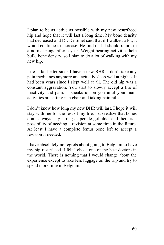I plan to be as active as possible with my new resurfaced hip and hope that it will last a long time. My bone density had decreased and Dr. De Smet said that if I walked a lot, it would continue to increase. He said that it should return to a normal range after a year. Weight bearing activities help build bone density, so I plan to do a lot of walking with my new hip.

Life is far better since I have a new BHR. I don't take any pain medicines anymore and actually sleep well at nights. It had been years since I slept well at all. The old hip was a constant aggravation. You start to slowly accept a life of inactivity and pain. It sneaks up on you until your main activities are sitting in a chair and taking pain pills.

I don't know how long my new BHR will last. I hope it will stay with me for the rest of my life. I do realize that bones don't always stay strong as people get older and there is a possibility of needing a revision at some time in the future. At least I have a complete femur bone left to accept a revision if needed.

I have absolutely no regrets about going to Belgium to have my hip resurfaced. I felt I chose one of the best doctors in the world. There is nothing that I would change about the experience except to take less luggage on the trip and try to spend more time in Belgium.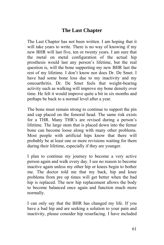# **The Last Chapter**

The Last Chapter has not been written. I am hoping that it will take years to write. There is no way of knowing if my new BHR will last five, ten or twenty years. I am sure that the metal on metal configuration of the actual hip prosthesis would last any person's lifetime, but the real question is, will the bone supporting my new BHR last the rest of my lifetime. I don't know nor does Dr. De Smet. I have had some bone loss due to my inactivity and my osteoarthritis. Dr. De Smet feels that weight-bearing activity such as walking will improve my bone density over time. He felt it would improve quite a bit in six months and perhaps be back to a normal level after a year.

The bone must remain strong to continue to support the pin and cap placed on the femoral head. The same risk exists for a THR. Many THR's are revised during a person's lifetime. The large stem that is placed down into the femur bone can become loose along with many other problems. Most people with artificial hips know that there will probably be at least one or more revisions waiting for them during their lifetime, especially if they are younger.

I plan to continue my journey to become a very active person again and walk every day. I see no reason to become inactive again unless my other hip or knees begin to bother me. The doctor told me that my back, hip and knee problems from pre op times will get better when the bad hip is replaced. The new hip replacement allows the body to become balanced once again and function much more normally.

I can only say that the BHR has changed my life. If you have a bad hip and are seeking a solution to your pain and inactivity, please consider hip resurfacing. I have included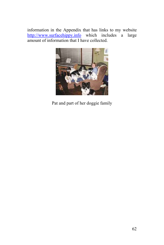information in the Appendix that has links to my website [http://www.surfacehippy.info](http://www.surfacehippy.info/) which includes a large amount of information that I have collected.



Pat and part of her doggie family